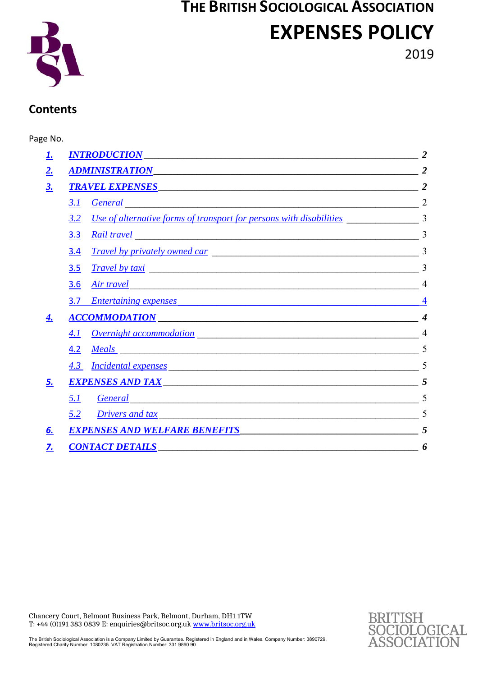# **THE BRITISH SOCIOLOGICAL ASSOCIATION EXPENSES POLICY**



2019

# **Contents**

# Page No.

| <b>INTRODUCTION</b><br><b>ADMINISTRATION</b>                                                                                                                                                                                                   |  |
|------------------------------------------------------------------------------------------------------------------------------------------------------------------------------------------------------------------------------------------------|--|
| <b>TRAVEL EXPENSES</b>                                                                                                                                                                                                                         |  |
| 3.1<br><b>General</b>                                                                                                                                                                                                                          |  |
| 3.2<br><u>Use of alternative forms of transport for persons with disabilities</u>                                                                                                                                                              |  |
| <b>Rail travel</b><br>3.3                                                                                                                                                                                                                      |  |
| <u>Travel by privately owned car</u><br>3.4                                                                                                                                                                                                    |  |
| <u>Travel by taxi</u><br>3.5                                                                                                                                                                                                                   |  |
| 3.6<br><u>Air travel</u>                                                                                                                                                                                                                       |  |
| 3.7<br><b>Entertaining expenses <i>CONSIDERATION</i></b>                                                                                                                                                                                       |  |
| <u>ACCOMMODATION</u>                                                                                                                                                                                                                           |  |
| <b>Overnight accommodation</b> <u>contracts</u> and the contract of the contract of the contract of the contract of the contract of the contract of the contract of the contract of the contract of the contract of the contract of the<br>4.1 |  |
| <u>Meals</u><br>4.2                                                                                                                                                                                                                            |  |
| 4.3<br><u>Incidental expenses</u>                                                                                                                                                                                                              |  |
| EXPENSES AND TAX                                                                                                                                                                                                                               |  |
| 5.1<br><b>General</b>                                                                                                                                                                                                                          |  |
| 5.2<br>Drivers and tax<br><u> 1989 - Johann John Stoff, deutscher Stoffen und der Stoffen und der Stoffen und der Stoffen und der Stoffen u</u>                                                                                                |  |
| <b>EXPENSES AND WELFARE BENEFITS</b>                                                                                                                                                                                                           |  |
| <u>CONTACT DETAILS</u>                                                                                                                                                                                                                         |  |

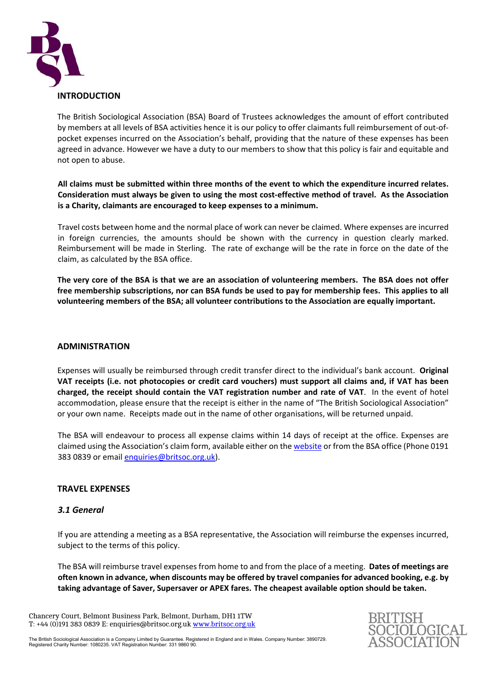

The British Sociological Association (BSA) Board of Trustees acknowledges the amount of effort contributed by members at all levels of BSA activities hence it is our policy to offer claimants full reimbursement of out‐of‐ pocket expenses incurred on the Association's behalf, providing that the nature of these expenses has been agreed in advance. However we have a duty to our members to show that this policy is fair and equitable and not open to abuse.

**All claims must be submitted within three months of the event to which the expenditure incurred relates. Consideration must always be given to using the most cost‐effective method of travel. As the Association is a Charity, claimants are encouraged to keep expenses to a minimum.** 

Travel costs between home and the normal place of work can never be claimed. Where expenses are incurred in foreign currencies, the amounts should be shown with the currency in question clearly marked. Reimbursement will be made in Sterling. The rate of exchange will be the rate in force on the date of the claim, as calculated by the BSA office.

**The very core of the BSA is that we are an association of volunteering members. The BSA does not offer free membership subscriptions, nor can BSA funds be used to pay for membership fees. This applies to all volunteering members of the BSA; all volunteer contributions to the Association are equally important.** 

# **ADMINISTRATION**

Expenses will usually be reimbursed through credit transfer direct to the individual's bank account. **Original VAT receipts (i.e. not photocopies or credit card vouchers) must support all claims and, if VAT has been charged, the receipt should contain the VAT registration number and rate of VAT**. In the event of hotel accommodation, please ensure that the receipt is either in the name of "The British Sociological Association" or your own name. Receipts made out in the name of other organisations, will be returned unpaid.

The BSA will endeavour to process all expense claims within 14 days of receipt at the office. Expenses are claimed using the Association's claim form, available either on the website or from the BSA office (Phone 0191 383 0839 or email enquiries@britsoc.org.uk).

# **TRAVEL EXPENSES**

# *3.1 General*

If you are attending a meeting as a BSA representative, the Association will reimburse the expenses incurred, subject to the terms of this policy.

The BSA will reimburse travel expenses from home to and from the place of a meeting. **Dates of meetings are often known in advance, when discounts may be offered by travel companies for advanced booking, e.g. by taking advantage of Saver, Supersaver or APEX fares. The cheapest available option should be taken.** 

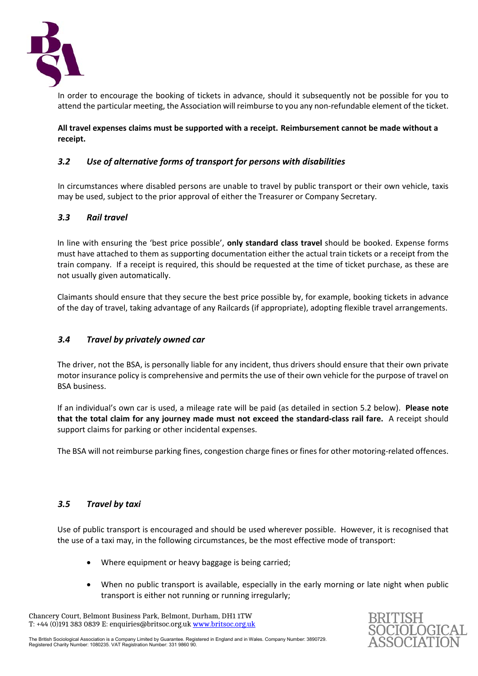

In order to encourage the booking of tickets in advance, should it subsequently not be possible for you to attend the particular meeting, the Association will reimburse to you any non-refundable element of the ticket.

**All travel expenses claims must be supported with a receipt. Reimbursement cannot be made without a receipt.** 

# *3.2 Use of alternative forms of transport for persons with disabilities*

In circumstances where disabled persons are unable to travel by public transport or their own vehicle, taxis may be used, subject to the prior approval of either the Treasurer or Company Secretary.

# *3.3 Rail travel*

In line with ensuring the 'best price possible', **only standard class travel** should be booked. Expense forms must have attached to them as supporting documentation either the actual train tickets or a receipt from the train company. If a receipt is required, this should be requested at the time of ticket purchase, as these are not usually given automatically.

Claimants should ensure that they secure the best price possible by, for example, booking tickets in advance of the day of travel, taking advantage of any Railcards (if appropriate), adopting flexible travel arrangements.

# *3.4 Travel by privately owned car*

The driver, not the BSA, is personally liable for any incident, thus drivers should ensure that their own private motor insurance policy is comprehensive and permits the use of their own vehicle for the purpose of travel on BSA business.

If an individual's own car is used, a mileage rate will be paid (as detailed in section 5.2 below). **Please note that the total claim for any journey made must not exceed the standard‐class rail fare.** A receipt should support claims for parking or other incidental expenses.

The BSA will not reimburse parking fines, congestion charge fines or fines for other motoring-related offences.

# *3.5 Travel by taxi*

Use of public transport is encouraged and should be used wherever possible. However, it is recognised that the use of a taxi may, in the following circumstances, be the most effective mode of transport:

- Where equipment or heavy baggage is being carried;
- When no public transport is available, especially in the early morning or late night when public transport is either not running or running irregularly;

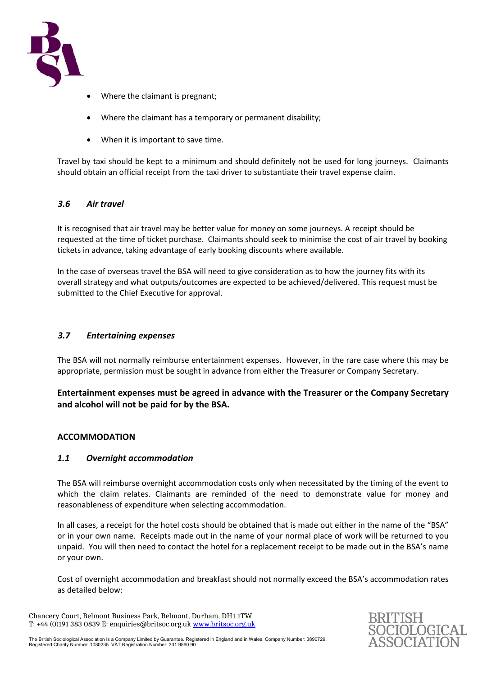

- Where the claimant is pregnant;
- Where the claimant has a temporary or permanent disability;
- When it is important to save time.

Travel by taxi should be kept to a minimum and should definitely not be used for long journeys. Claimants should obtain an official receipt from the taxi driver to substantiate their travel expense claim.

#### *3.6 Air travel*

It is recognised that air travel may be better value for money on some journeys. A receipt should be requested at the time of ticket purchase. Claimants should seek to minimise the cost of air travel by booking tickets in advance, taking advantage of early booking discounts where available.

In the case of overseas travel the BSA will need to give consideration as to how the journey fits with its overall strategy and what outputs/outcomes are expected to be achieved/delivered. This request must be submitted to the Chief Executive for approval.

#### *3.7 Entertaining expenses*

The BSA will not normally reimburse entertainment expenses. However, in the rare case where this may be appropriate, permission must be sought in advance from either the Treasurer or Company Secretary.

# **Entertainment expenses must be agreed in advance with the Treasurer or the Company Secretary and alcohol will not be paid for by the BSA.**

# **ACCOMMODATION**

# *1.1 Overnight accommodation*

The BSA will reimburse overnight accommodation costs only when necessitated by the timing of the event to which the claim relates. Claimants are reminded of the need to demonstrate value for money and reasonableness of expenditure when selecting accommodation.

In all cases, a receipt for the hotel costs should be obtained that is made out either in the name of the "BSA" or in your own name. Receipts made out in the name of your normal place of work will be returned to you unpaid. You will then need to contact the hotel for a replacement receipt to be made out in the BSA's name or your own.

Cost of overnight accommodation and breakfast should not normally exceed the BSA's accommodation rates as detailed below:

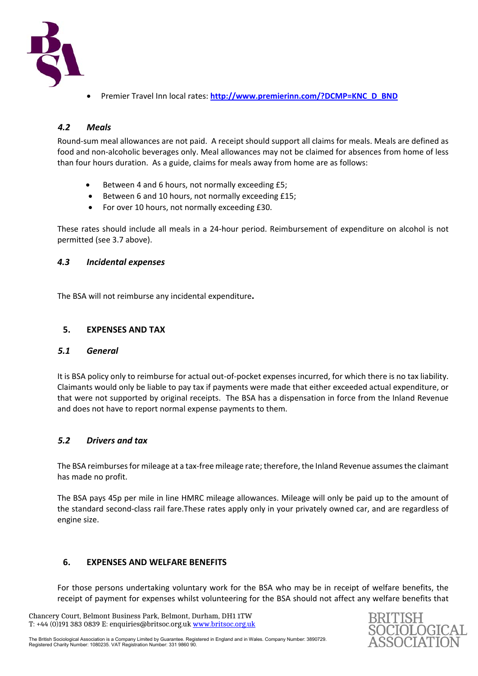

Premier Travel Inn local rates: **http://www.premierinn.com/?DCMP=KNC\_D\_BND**

# *4.2 Meals*

Round‐sum meal allowances are not paid. A receipt should support all claims for meals. Meals are defined as food and non‐alcoholic beverages only. Meal allowances may not be claimed for absences from home of less than four hours duration. As a guide, claims for meals away from home are as follows:

- Between 4 and 6 hours, not normally exceeding £5;
- Between 6 and 10 hours, not normally exceeding £15;
- For over 10 hours, not normally exceeding £30.

These rates should include all meals in a 24‐hour period. Reimbursement of expenditure on alcohol is not permitted (see 3.7 above).

# *4.3 Incidental expenses*

The BSA will not reimburse any incidental expenditure**.** 

# **5. EXPENSES AND TAX**

#### *5.1 General*

It is BSA policy only to reimburse for actual out‐of‐pocket expenses incurred, for which there is no tax liability. Claimants would only be liable to pay tax if payments were made that either exceeded actual expenditure, or that were not supported by original receipts. The BSA has a dispensation in force from the Inland Revenue and does not have to report normal expense payments to them.

# *5.2 Drivers and tax*

The BSA reimburses for mileage at a tax‐free mileage rate; therefore, the Inland Revenue assumes the claimant has made no profit.

The BSA pays 45p per mile in line HMRC mileage allowances. Mileage will only be paid up to the amount of the standard second‐class rail fare.These rates apply only in your privately owned car, and are regardless of engine size.

# **6. EXPENSES AND WELFARE BENEFITS**

For those persons undertaking voluntary work for the BSA who may be in receipt of welfare benefits, the receipt of payment for expenses whilst volunteering for the BSA should not affect any welfare benefits that